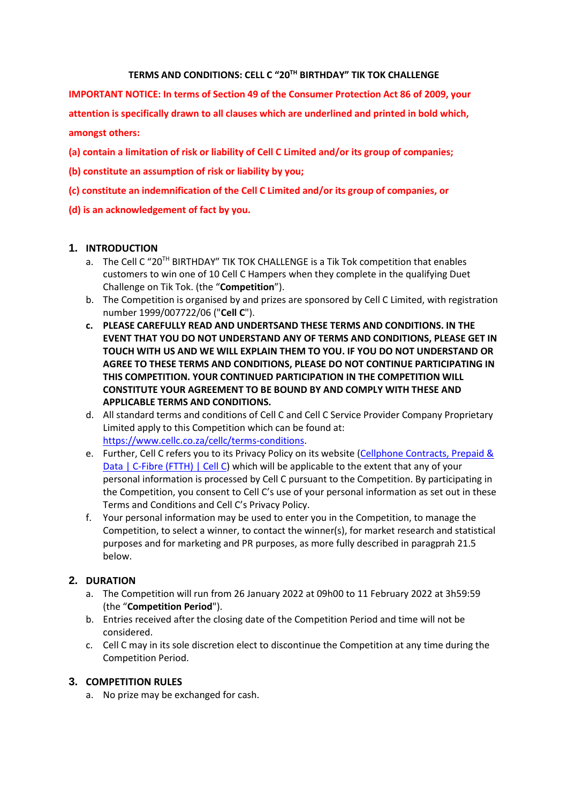#### **TERMS AND CONDITIONS: CELL C "20 TH BIRTHDAY" TIK TOK CHALLENGE**

**IMPORTANT NOTICE: In terms of Section 49 of the Consumer Protection Act 86 of 2009, your attention is specifically drawn to all clauses which are underlined and printed in bold which, amongst others:** 

- **(a) contain a limitation of risk or liability of Cell C Limited and/or its group of companies;**
- **(b) constitute an assumption of risk or liability by you;**
- **(c) constitute an indemnification of the Cell C Limited and/or its group of companies, or**
- **(d) is an acknowledgement of fact by you.**

### **1. INTRODUCTION**

- a. The Cell C "20<sup>TH</sup> BIRTHDAY" TIK TOK CHALLENGE is a Tik Tok competition that enables customers to win one of 10 Cell C Hampers when they complete in the qualifying Duet Challenge on Tik Tok. (the "**Competition**").
- b. The Competition is organised by and prizes are sponsored by Cell C Limited, with registration number 1999/007722/06 ("**Cell C**").
- **c. PLEASE CAREFULLY READ AND UNDERTSAND THESE TERMS AND CONDITIONS. IN THE EVENT THAT YOU DO NOT UNDERSTAND ANY OF TERMS AND CONDITIONS, PLEASE GET IN TOUCH WITH US AND WE WILL EXPLAIN THEM TO YOU. IF YOU DO NOT UNDERSTAND OR AGREE TO THESE TERMS AND CONDITIONS, PLEASE DO NOT CONTINUE PARTICIPATING IN THIS COMPETITION. YOUR CONTINUED PARTICIPATION IN THE COMPETITION WILL CONSTITUTE YOUR AGREEMENT TO BE BOUND BY AND COMPLY WITH THESE AND APPLICABLE TERMS AND CONDITIONS.**
- d. All standard terms and conditions of Cell C and Cell C Service Provider Company Proprietary Limited apply to this Competition which can be found at: [https://www.cellc.co.za/cellc/terms-conditions.](https://www.cellc.co.za/cellc/terms-conditions)
- e. Further, Cell C refers you to its Privacy Policy on its website [\(Cellphone Contracts, Prepaid &](https://www.cellc.co.za/cellc/home)  [Data | C-Fibre \(FTTH\) | Cell C\)](https://www.cellc.co.za/cellc/home) which will be applicable to the extent that any of your personal information is processed by Cell C pursuant to the Competition. By participating in the Competition, you consent to Cell C's use of your personal information as set out in these Terms and Conditions and Cell C's Privacy Policy.
- f. Your personal information may be used to enter you in the Competition, to manage the Competition, to select a winner, to contact the winner(s), for market research and statistical purposes and for marketing and PR purposes, as more fully described in paragprah 21.5 below.

## **2. DURATION**

- a. The Competition will run from 26 January 2022 at 09h00 to 11 February 2022 at 3h59:59 (the "**Competition Period**").
- b. Entries received after the closing date of the Competition Period and time will not be considered.
- c. Cell C may in its sole discretion elect to discontinue the Competition at any time during the Competition Period.

#### **3. COMPETITION RULES**

a. No prize may be exchanged for cash.